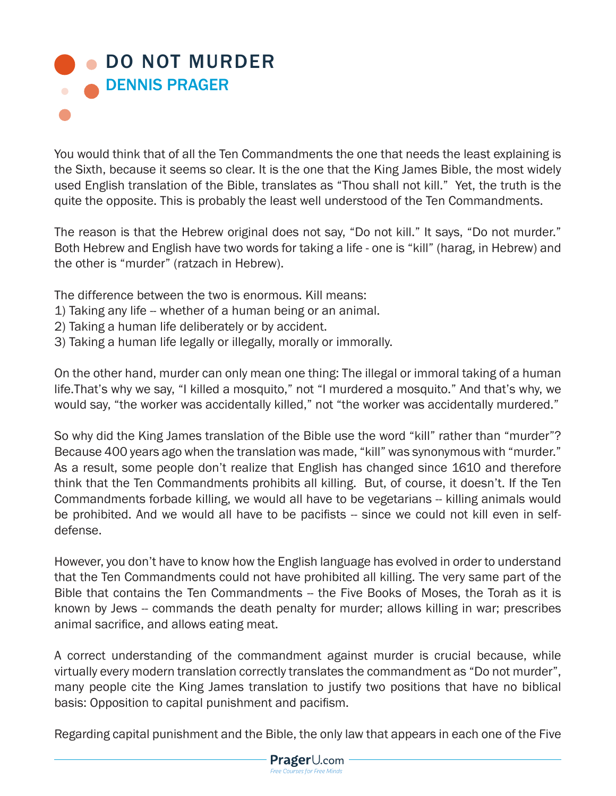## **OD NOT MURDER** DENNIS PRAGER

You would think that of all the Ten Commandments the one that needs the least explaining is the Sixth, because it seems so clear. It is the one that the King James Bible, the most widely used English translation of the Bible, translates as "Thou shall not kill." Yet, the truth is the quite the opposite. This is probably the least well understood of the Ten Commandments.

The reason is that the Hebrew original does not say, "Do not kill." It says, "Do not murder." Both Hebrew and English have two words for taking a life - one is "kill" (harag, in Hebrew) and the other is "murder" (ratzach in Hebrew).

The difference between the two is enormous. Kill means:

- 1) Taking any life -- whether of a human being or an animal.
- 2) Taking a human life deliberately or by accident.
- 3) Taking a human life legally or illegally, morally or immorally.

On the other hand, murder can only mean one thing: The illegal or immoral taking of a human life.That's why we say, "I killed a mosquito," not "I murdered a mosquito." And that's why, we would say, "the worker was accidentally killed," not "the worker was accidentally murdered."

So why did the King James translation of the Bible use the word "kill" rather than "murder"? Because 400 years ago when the translation was made, "kill" was synonymous with "murder." As a result, some people don't realize that English has changed since 1610 and therefore think that the Ten Commandments prohibits all killing. But, of course, it doesn't. If the Ten Commandments forbade killing, we would all have to be vegetarians -- killing animals would be prohibited. And we would all have to be pacifists -- since we could not kill even in selfdefense.

However, you don't have to know how the English language has evolved in order to understand that the Ten Commandments could not have prohibited all killing. The very same part of the Bible that contains the Ten Commandments -- the Five Books of Moses, the Torah as it is known by Jews -- commands the death penalty for murder; allows killing in war; prescribes animal sacrifice, and allows eating meat.

A correct understanding of the commandment against murder is crucial because, while virtually every modern translation correctly translates the commandment as "Do not murder", many people cite the King James translation to justify two positions that have no biblical basis: Opposition to capital punishment and pacifism.

Regarding capital punishment and the Bible, the only law that appears in each one of the Five